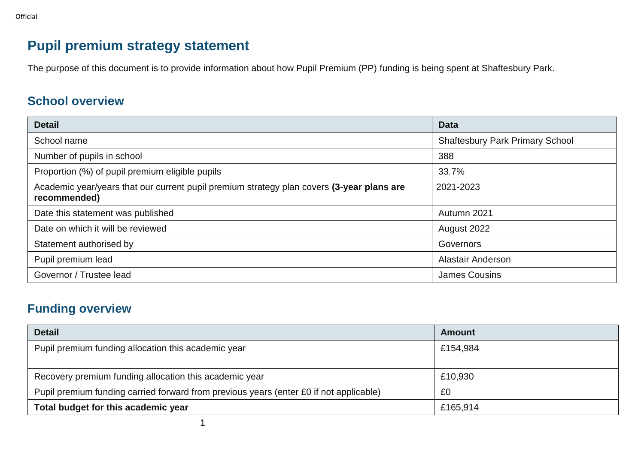# **Pupil premium strategy statement**

The purpose of this document is to provide information about how Pupil Premium (PP) funding is being spent at Shaftesbury Park.

### **School overview**

| <b>Detail</b>                                                                                             | <b>Data</b>                            |
|-----------------------------------------------------------------------------------------------------------|----------------------------------------|
| School name                                                                                               | <b>Shaftesbury Park Primary School</b> |
| Number of pupils in school                                                                                | 388                                    |
| Proportion (%) of pupil premium eligible pupils                                                           | 33.7%                                  |
| Academic year/years that our current pupil premium strategy plan covers (3-year plans are<br>recommended) | 2021-2023                              |
| Date this statement was published                                                                         | Autumn 2021                            |
| Date on which it will be reviewed                                                                         | August 2022                            |
| Statement authorised by                                                                                   | Governors                              |
| Pupil premium lead                                                                                        | <b>Alastair Anderson</b>               |
| Governor / Trustee lead                                                                                   | <b>James Cousins</b>                   |

## **Funding overview**

| <b>Detail</b>                                                                          | Amount   |
|----------------------------------------------------------------------------------------|----------|
| Pupil premium funding allocation this academic year                                    | £154,984 |
|                                                                                        |          |
| Recovery premium funding allocation this academic year                                 | £10,930  |
| Pupil premium funding carried forward from previous years (enter £0 if not applicable) | £0       |
| Total budget for this academic year                                                    | £165,914 |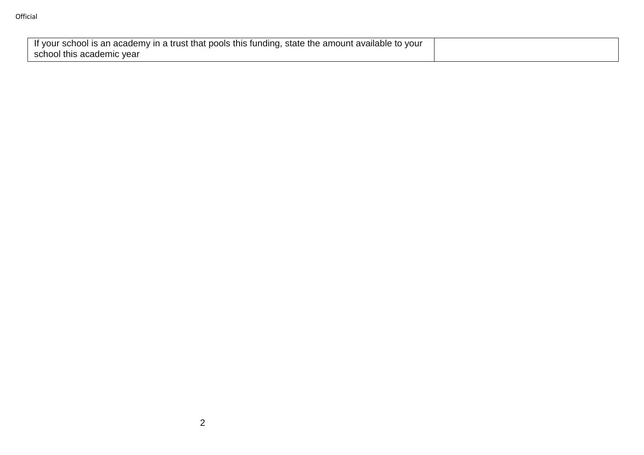| If your school is an academy in a trust that pools this funding, state the amount available to your |  |
|-----------------------------------------------------------------------------------------------------|--|
| school this academic year                                                                           |  |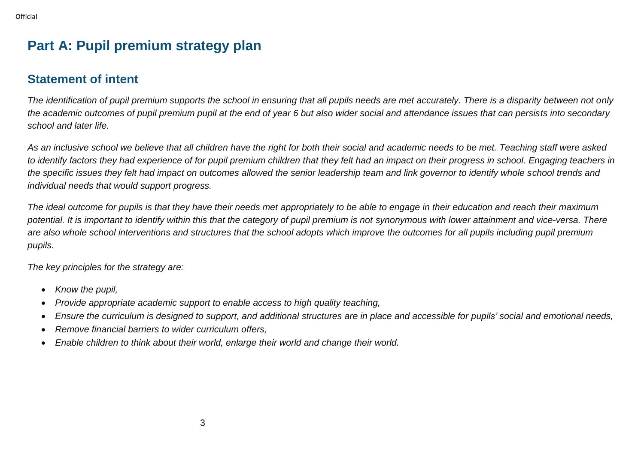# **Part A: Pupil premium strategy plan**

### **Statement of intent**

*The identification of pupil premium supports the school in ensuring that all pupils needs are met accurately. There is a disparity between not only the academic outcomes of pupil premium pupil at the end of year 6 but also wider social and attendance issues that can persists into secondary school and later life.*

*As an inclusive school we believe that all children have the right for both their social and academic needs to be met. Teaching staff were asked*  to identify factors they had experience of for pupil premium children that they felt had an impact on their progress in school. Engaging teachers in *the specific issues they felt had impact on outcomes allowed the senior leadership team and link governor to identify whole school trends and individual needs that would support progress.*

*The ideal outcome for pupils is that they have their needs met appropriately to be able to engage in their education and reach their maximum potential. It is important to identify within this that the category of pupil premium is not synonymous with lower attainment and vice-versa. There are also whole school interventions and structures that the school adopts which improve the outcomes for all pupils including pupil premium pupils.*

*The key principles for the strategy are:*

- *Know the pupil,*
- *Provide appropriate academic support to enable access to high quality teaching,*
- *Ensure the curriculum is designed to support, and additional structures are in place and accessible for pupils' social and emotional needs,*
- *Remove financial barriers to wider curriculum offers,*
- *Enable children to think about their world, enlarge their world and change their world.*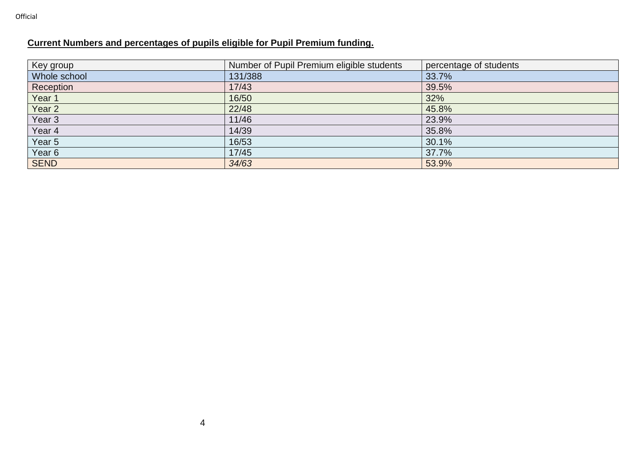#### **Current Numbers and percentages of pupils eligible for Pupil Premium funding.**

| Key group         | Number of Pupil Premium eligible students | percentage of students |
|-------------------|-------------------------------------------|------------------------|
| Whole school      | 131/388                                   | 33.7%                  |
| Reception         | 17/43                                     | 39.5%                  |
| Year 1            | 16/50                                     | 32%                    |
| Year 2            | 22/48                                     | 45.8%                  |
| Year <sub>3</sub> | 11/46                                     | 23.9%                  |
| Year 4            | 14/39                                     | 35.8%                  |
| Year 5            | 16/53                                     | 30.1%                  |
| Year <sub>6</sub> | 17/45                                     | 37.7%                  |
| SEND              | 34/63                                     | 53.9%                  |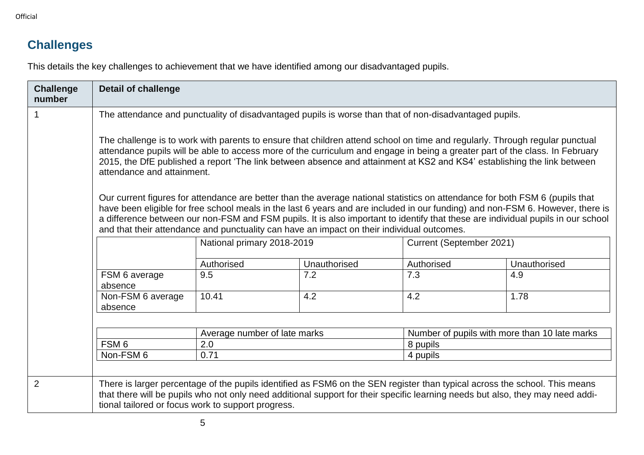# **Challenges**

This details the key challenges to achievement that we have identified among our disadvantaged pupils.

| <b>Challenge</b><br>number | <b>Detail of challenge</b>                                                                                                                                                                                                                                                                                                                                                                                                                                                                       |                                                                                                        |     |            |              |  |  |
|----------------------------|--------------------------------------------------------------------------------------------------------------------------------------------------------------------------------------------------------------------------------------------------------------------------------------------------------------------------------------------------------------------------------------------------------------------------------------------------------------------------------------------------|--------------------------------------------------------------------------------------------------------|-----|------------|--------------|--|--|
|                            |                                                                                                                                                                                                                                                                                                                                                                                                                                                                                                  | The attendance and punctuality of disadvantaged pupils is worse than that of non-disadvantaged pupils. |     |            |              |  |  |
|                            | The challenge is to work with parents to ensure that children attend school on time and regularly. Through regular punctual<br>attendance pupils will be able to access more of the curriculum and engage in being a greater part of the class. In February<br>2015, the DfE published a report 'The link between absence and attainment at KS2 and KS4' establishing the link between<br>attendance and attainment.                                                                             |                                                                                                        |     |            |              |  |  |
|                            | Our current figures for attendance are better than the average national statistics on attendance for both FSM 6 (pupils that<br>have been eligible for free school meals in the last 6 years and are included in our funding) and non-FSM 6. However, there is<br>a difference between our non-FSM and FSM pupils. It is also important to identify that these are individual pupils in our school<br>and that their attendance and punctuality can have an impact on their individual outcomes. |                                                                                                        |     |            |              |  |  |
|                            |                                                                                                                                                                                                                                                                                                                                                                                                                                                                                                  | National primary 2018-2019<br>Current (September 2021)                                                 |     |            |              |  |  |
|                            |                                                                                                                                                                                                                                                                                                                                                                                                                                                                                                  | Authorised<br>Unauthorised                                                                             |     | Authorised | Unauthorised |  |  |
|                            | FSM 6 average<br>absence                                                                                                                                                                                                                                                                                                                                                                                                                                                                         | 9.5                                                                                                    | 7.2 | 7.3        | 4.9          |  |  |
|                            | Non-FSM 6 average<br>absence                                                                                                                                                                                                                                                                                                                                                                                                                                                                     | 10.41<br>4.2<br>4.2<br>1.78                                                                            |     |            |              |  |  |
|                            | Number of pupils with more than 10 late marks<br>Average number of late marks                                                                                                                                                                                                                                                                                                                                                                                                                    |                                                                                                        |     |            |              |  |  |
|                            | FSM <sub>6</sub>                                                                                                                                                                                                                                                                                                                                                                                                                                                                                 | 2.0                                                                                                    |     | 8 pupils   |              |  |  |
|                            | Non-FSM 6                                                                                                                                                                                                                                                                                                                                                                                                                                                                                        | 0.71                                                                                                   |     | 4 pupils   |              |  |  |
|                            |                                                                                                                                                                                                                                                                                                                                                                                                                                                                                                  |                                                                                                        |     |            |              |  |  |
| 2                          | There is larger percentage of the pupils identified as FSM6 on the SEN register than typical across the school. This means<br>that there will be pupils who not only need additional support for their specific learning needs but also, they may need addi-<br>tional tailored or focus work to support progress.                                                                                                                                                                               |                                                                                                        |     |            |              |  |  |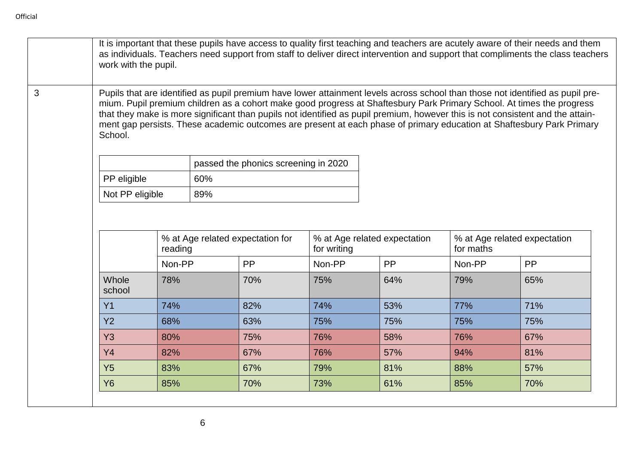$\mathbf{I}$ 

| School.         |         |     | Pupils that are identified as pupil premium have lower attainment levels across school than those not identified as pupil pre-<br>mium. Pupil premium children as a cohort make good progress at Shaftesbury Park Primary School. At times the progress<br>that they make is more significant than pupils not identified as pupil premium, however this is not consistent and the attain-<br>ment gap persists. These academic outcomes are present at each phase of primary education at Shaftesbury Park Primary |                              |     |                              |           |
|-----------------|---------|-----|--------------------------------------------------------------------------------------------------------------------------------------------------------------------------------------------------------------------------------------------------------------------------------------------------------------------------------------------------------------------------------------------------------------------------------------------------------------------------------------------------------------------|------------------------------|-----|------------------------------|-----------|
|                 |         |     | passed the phonics screening in 2020                                                                                                                                                                                                                                                                                                                                                                                                                                                                               |                              |     |                              |           |
| PP eligible     |         | 60% |                                                                                                                                                                                                                                                                                                                                                                                                                                                                                                                    |                              |     |                              |           |
| Not PP eligible |         | 89% |                                                                                                                                                                                                                                                                                                                                                                                                                                                                                                                    |                              |     |                              |           |
|                 |         |     | % at Age related expectation for                                                                                                                                                                                                                                                                                                                                                                                                                                                                                   | % at Age related expectation |     | % at Age related expectation |           |
|                 | reading |     |                                                                                                                                                                                                                                                                                                                                                                                                                                                                                                                    | for writing                  |     | for maths                    |           |
|                 | Non-PP  |     | PP                                                                                                                                                                                                                                                                                                                                                                                                                                                                                                                 | Non-PP                       | PP  | Non-PP                       | <b>PP</b> |
| Whole<br>school | 78%     |     | 70%                                                                                                                                                                                                                                                                                                                                                                                                                                                                                                                | 75%                          | 64% | 79%                          | 65%       |
| Y1              | 74%     |     | 82%                                                                                                                                                                                                                                                                                                                                                                                                                                                                                                                | 74%                          | 53% | 77%                          | 71%       |
| <b>Y2</b>       | 68%     |     | 63%                                                                                                                                                                                                                                                                                                                                                                                                                                                                                                                | 75%                          | 75% | 75%                          | 75%       |
| <b>Y3</b>       | 80%     |     | 75%                                                                                                                                                                                                                                                                                                                                                                                                                                                                                                                | 76%                          | 58% | 76%                          | 67%       |
| Y4              | 82%     |     | 67%                                                                                                                                                                                                                                                                                                                                                                                                                                                                                                                | 76%                          | 57% | 94%                          | 81%       |
| Y5              | 83%     |     | 67%                                                                                                                                                                                                                                                                                                                                                                                                                                                                                                                | 79%                          | 81% | 88%                          | 57%       |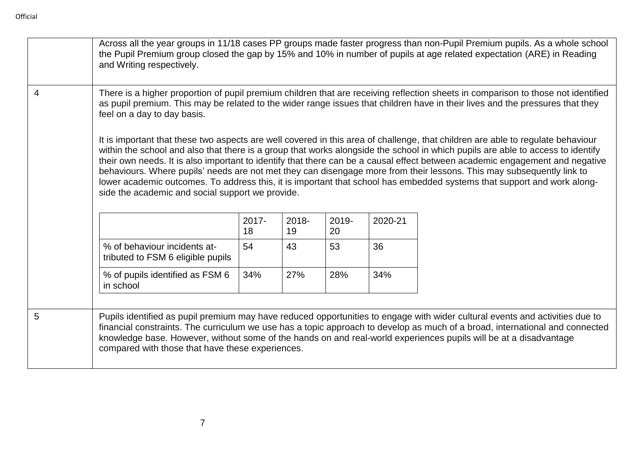|   | and Writing respectively.                                                                                                                                                                                                                                                                         |             |                |             |         | Across all the year groups in 11/18 cases PP groups made faster progress than non-Pupil Premium pupils. As a whole school<br>the Pupil Premium group closed the gap by 15% and 10% in number of pupils at age related expectation (ARE) in Reading                                                                                                                                                                                                                                                                                                                                                                                                     |  |  |
|---|---------------------------------------------------------------------------------------------------------------------------------------------------------------------------------------------------------------------------------------------------------------------------------------------------|-------------|----------------|-------------|---------|--------------------------------------------------------------------------------------------------------------------------------------------------------------------------------------------------------------------------------------------------------------------------------------------------------------------------------------------------------------------------------------------------------------------------------------------------------------------------------------------------------------------------------------------------------------------------------------------------------------------------------------------------------|--|--|
| 4 | There is a higher proportion of pupil premium children that are receiving reflection sheets in comparison to those not identified<br>as pupil premium. This may be related to the wider range issues that children have in their lives and the pressures that they<br>feel on a day to day basis. |             |                |             |         |                                                                                                                                                                                                                                                                                                                                                                                                                                                                                                                                                                                                                                                        |  |  |
|   | side the academic and social support we provide.                                                                                                                                                                                                                                                  |             |                |             |         | It is important that these two aspects are well covered in this area of challenge, that children are able to regulate behaviour<br>within the school and also that there is a group that works alongside the school in which pupils are able to access to identify<br>their own needs. It is also important to identify that there can be a causal effect between academic engagement and negative<br>behaviours. Where pupils' needs are not met they can disengage more from their lessons. This may subsequently link to<br>lower academic outcomes. To address this, it is important that school has embedded systems that support and work along- |  |  |
|   |                                                                                                                                                                                                                                                                                                   | 2017-<br>18 | $2018 -$<br>19 | 2019-<br>20 | 2020-21 |                                                                                                                                                                                                                                                                                                                                                                                                                                                                                                                                                                                                                                                        |  |  |
|   | % of behaviour incidents at-<br>tributed to FSM 6 eligible pupils                                                                                                                                                                                                                                 | 54          | 43             | 53          | 36      |                                                                                                                                                                                                                                                                                                                                                                                                                                                                                                                                                                                                                                                        |  |  |
|   | % of pupils identified as FSM 6<br>in school                                                                                                                                                                                                                                                      | 34%         | 27%            | 28%         | 34%     |                                                                                                                                                                                                                                                                                                                                                                                                                                                                                                                                                                                                                                                        |  |  |
| 5 | compared with those that have these experiences.                                                                                                                                                                                                                                                  |             |                |             |         | Pupils identified as pupil premium may have reduced opportunities to engage with wider cultural events and activities due to<br>financial constraints. The curriculum we use has a topic approach to develop as much of a broad, international and connected<br>knowledge base. However, without some of the hands on and real-world experiences pupils will be at a disadvantage                                                                                                                                                                                                                                                                      |  |  |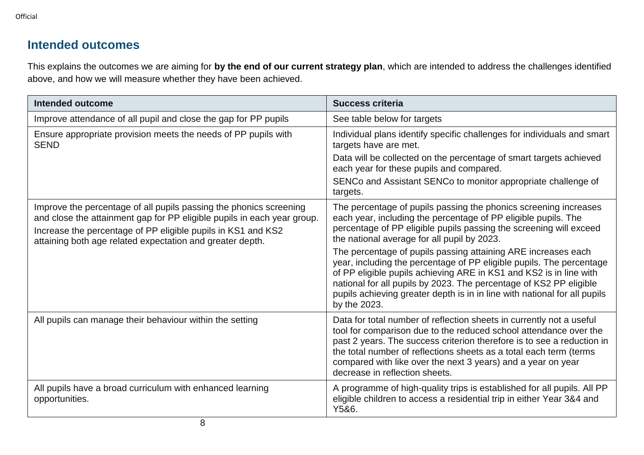Official

## **Intended outcomes**

This explains the outcomes we are aiming for **by the end of our current strategy plan**, which are intended to address the challenges identified above, and how we will measure whether they have been achieved.

| <b>Intended outcome</b>                                                                                                                                                                                                                                                    | <b>Success criteria</b>                                                                                                                                                                                                                                                                                                                                                                     |
|----------------------------------------------------------------------------------------------------------------------------------------------------------------------------------------------------------------------------------------------------------------------------|---------------------------------------------------------------------------------------------------------------------------------------------------------------------------------------------------------------------------------------------------------------------------------------------------------------------------------------------------------------------------------------------|
| Improve attendance of all pupil and close the gap for PP pupils                                                                                                                                                                                                            | See table below for targets                                                                                                                                                                                                                                                                                                                                                                 |
| Ensure appropriate provision meets the needs of PP pupils with<br><b>SEND</b>                                                                                                                                                                                              | Individual plans identify specific challenges for individuals and smart<br>targets have are met.                                                                                                                                                                                                                                                                                            |
|                                                                                                                                                                                                                                                                            | Data will be collected on the percentage of smart targets achieved<br>each year for these pupils and compared.                                                                                                                                                                                                                                                                              |
|                                                                                                                                                                                                                                                                            | SENCo and Assistant SENCo to monitor appropriate challenge of<br>targets.                                                                                                                                                                                                                                                                                                                   |
| Improve the percentage of all pupils passing the phonics screening<br>and close the attainment gap for PP eligible pupils in each year group.<br>Increase the percentage of PP eligible pupils in KS1 and KS2<br>attaining both age related expectation and greater depth. | The percentage of pupils passing the phonics screening increases<br>each year, including the percentage of PP eligible pupils. The<br>percentage of PP eligible pupils passing the screening will exceed<br>the national average for all pupil by 2023.                                                                                                                                     |
|                                                                                                                                                                                                                                                                            | The percentage of pupils passing attaining ARE increases each<br>year, including the percentage of PP eligible pupils. The percentage<br>of PP eligible pupils achieving ARE in KS1 and KS2 is in line with<br>national for all pupils by 2023. The percentage of KS2 PP eligible<br>pupils achieving greater depth is in in line with national for all pupils<br>by the 2023.              |
| All pupils can manage their behaviour within the setting                                                                                                                                                                                                                   | Data for total number of reflection sheets in currently not a useful<br>tool for comparison due to the reduced school attendance over the<br>past 2 years. The success criterion therefore is to see a reduction in<br>the total number of reflections sheets as a total each term (terms<br>compared with like over the next 3 years) and a year on year<br>decrease in reflection sheets. |
| All pupils have a broad curriculum with enhanced learning<br>opportunities.                                                                                                                                                                                                | A programme of high-quality trips is established for all pupils. All PP<br>eligible children to access a residential trip in either Year 3&4 and<br>Y5&6.                                                                                                                                                                                                                                   |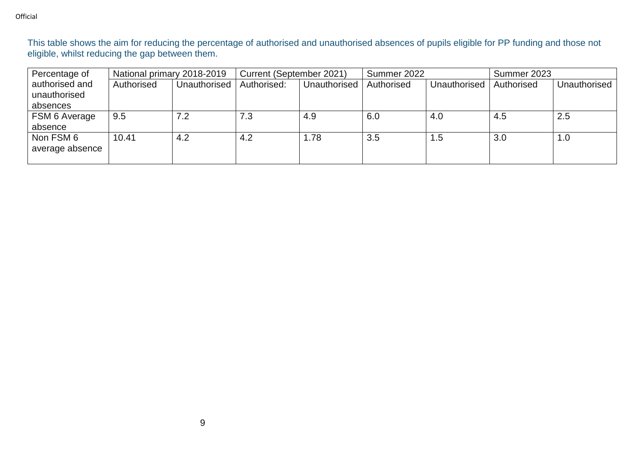This table shows the aim for reducing the percentage of authorised and unauthorised absences of pupils eligible for PP funding and those not eligible, whilst reducing the gap between them.

| Percentage of   | National primary 2018-2019 |              | Current (September 2021) |              | Summer 2022 |              | Summer 2023 |              |
|-----------------|----------------------------|--------------|--------------------------|--------------|-------------|--------------|-------------|--------------|
| authorised and  | Authorised                 | Unauthorised | Authorised:              | Unauthorised | Authorised  | Unauthorised | Authorised  | Unauthorised |
| unauthorised    |                            |              |                          |              |             |              |             |              |
| absences        |                            |              |                          |              |             |              |             |              |
| FSM 6 Average   | 9.5                        | 7.2          | 7.3                      | 4.9          | 6.0         | 4.0          | 4.5         | 2.5          |
| absence         |                            |              |                          |              |             |              |             |              |
| Non FSM 6       | 10.41                      | 4.2          | 4.2                      | 1.78         | 3.5         | 1.5          | 3.0         | 1.0          |
| average absence |                            |              |                          |              |             |              |             |              |
|                 |                            |              |                          |              |             |              |             |              |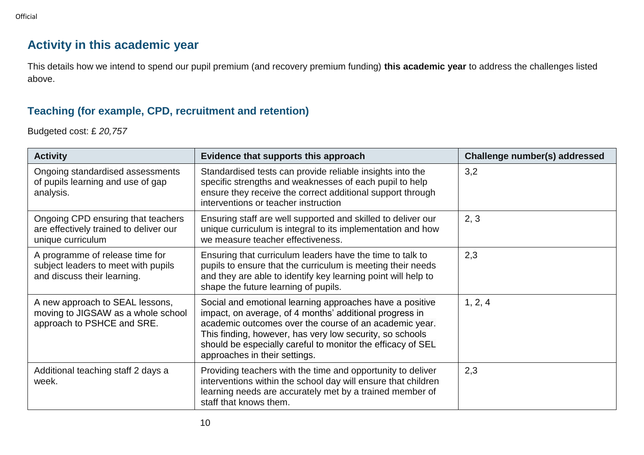### **Activity in this academic year**

This details how we intend to spend our pupil premium (and recovery premium funding) **this academic year** to address the challenges listed above.

#### **Teaching (for example, CPD, recruitment and retention)**

Budgeted cost: £ *20,757*

| <b>Activity</b>                                                                                       | Evidence that supports this approach                                                                                                                                                                                                                                                                                                      | Challenge number(s) addressed |
|-------------------------------------------------------------------------------------------------------|-------------------------------------------------------------------------------------------------------------------------------------------------------------------------------------------------------------------------------------------------------------------------------------------------------------------------------------------|-------------------------------|
| Ongoing standardised assessments<br>of pupils learning and use of gap<br>analysis.                    | Standardised tests can provide reliable insights into the<br>specific strengths and weaknesses of each pupil to help<br>ensure they receive the correct additional support through<br>interventions or teacher instruction                                                                                                                | 3,2                           |
| Ongoing CPD ensuring that teachers<br>are effectively trained to deliver our<br>unique curriculum     | Ensuring staff are well supported and skilled to deliver our<br>unique curriculum is integral to its implementation and how<br>we measure teacher effectiveness.                                                                                                                                                                          | 2, 3                          |
| A programme of release time for<br>subject leaders to meet with pupils<br>and discuss their learning. | Ensuring that curriculum leaders have the time to talk to<br>pupils to ensure that the curriculum is meeting their needs<br>and they are able to identify key learning point will help to<br>shape the future learning of pupils.                                                                                                         | 2,3                           |
| A new approach to SEAL lessons,<br>moving to JIGSAW as a whole school<br>approach to PSHCE and SRE.   | Social and emotional learning approaches have a positive<br>impact, on average, of 4 months' additional progress in<br>academic outcomes over the course of an academic year.<br>This finding, however, has very low security, so schools<br>should be especially careful to monitor the efficacy of SEL<br>approaches in their settings. | 1, 2, 4                       |
| Additional teaching staff 2 days a<br>week.                                                           | Providing teachers with the time and opportunity to deliver<br>interventions within the school day will ensure that children<br>learning needs are accurately met by a trained member of<br>staff that knows them.                                                                                                                        | 2,3                           |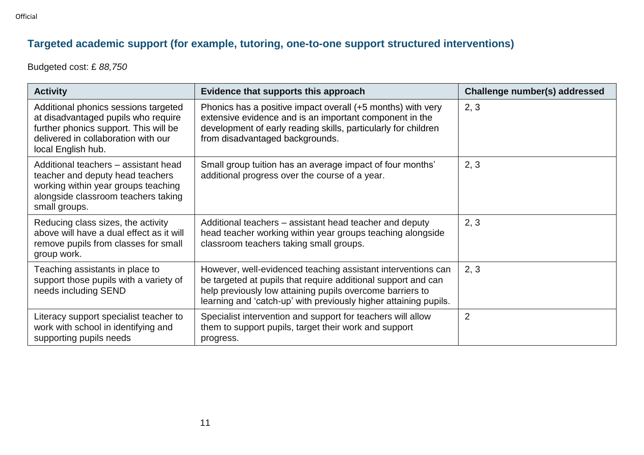## **Targeted academic support (for example, tutoring, one-to-one support structured interventions)**

Budgeted cost: £ *88,750*

| <b>Activity</b>                                                                                                                                                                   | Evidence that supports this approach                                                                                                                                                                                                                           | Challenge number(s) addressed |
|-----------------------------------------------------------------------------------------------------------------------------------------------------------------------------------|----------------------------------------------------------------------------------------------------------------------------------------------------------------------------------------------------------------------------------------------------------------|-------------------------------|
| Additional phonics sessions targeted<br>at disadvantaged pupils who require<br>further phonics support. This will be<br>delivered in collaboration with our<br>local English hub. | Phonics has a positive impact overall (+5 months) with very<br>extensive evidence and is an important component in the<br>development of early reading skills, particularly for children<br>from disadvantaged backgrounds.                                    | 2, 3                          |
| Additional teachers - assistant head<br>teacher and deputy head teachers<br>working within year groups teaching<br>alongside classroom teachers taking<br>small groups.           | Small group tuition has an average impact of four months'<br>additional progress over the course of a year.                                                                                                                                                    | 2, 3                          |
| Reducing class sizes, the activity<br>above will have a dual effect as it will<br>remove pupils from classes for small<br>group work.                                             | Additional teachers – assistant head teacher and deputy<br>head teacher working within year groups teaching alongside<br>classroom teachers taking small groups.                                                                                               | 2, 3                          |
| Teaching assistants in place to<br>support those pupils with a variety of<br>needs including SEND                                                                                 | However, well-evidenced teaching assistant interventions can<br>be targeted at pupils that require additional support and can<br>help previously low attaining pupils overcome barriers to<br>learning and 'catch-up' with previously higher attaining pupils. | 2, 3                          |
| Literacy support specialist teacher to<br>work with school in identifying and<br>supporting pupils needs                                                                          | Specialist intervention and support for teachers will allow<br>them to support pupils, target their work and support<br>progress.                                                                                                                              | $\overline{2}$                |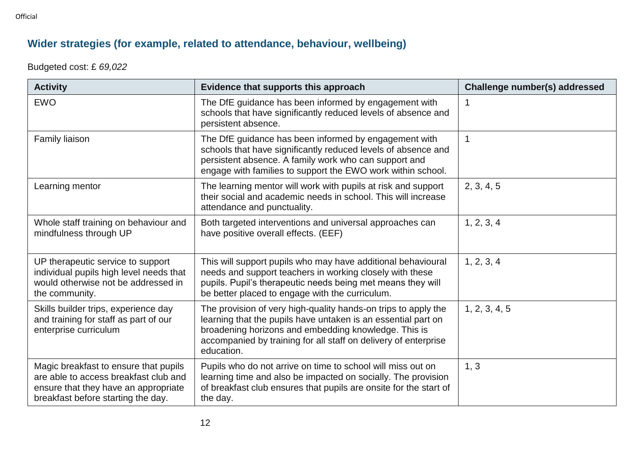## **Wider strategies (for example, related to attendance, behaviour, wellbeing)**

Budgeted cost: £ *69,022*

| <b>Activity</b>                                                                                                                                              | Evidence that supports this approach                                                                                                                                                                                                                                     | Challenge number(s) addressed |
|--------------------------------------------------------------------------------------------------------------------------------------------------------------|--------------------------------------------------------------------------------------------------------------------------------------------------------------------------------------------------------------------------------------------------------------------------|-------------------------------|
| <b>EWO</b>                                                                                                                                                   | The DfE guidance has been informed by engagement with<br>schools that have significantly reduced levels of absence and<br>persistent absence.                                                                                                                            | $\mathbf 1$                   |
| Family liaison                                                                                                                                               | The DfE guidance has been informed by engagement with<br>schools that have significantly reduced levels of absence and<br>persistent absence. A family work who can support and<br>engage with families to support the EWO work within school.                           | $\mathbf{1}$                  |
| Learning mentor                                                                                                                                              | The learning mentor will work with pupils at risk and support<br>their social and academic needs in school. This will increase<br>attendance and punctuality.                                                                                                            | 2, 3, 4, 5                    |
| Whole staff training on behaviour and<br>mindfulness through UP                                                                                              | Both targeted interventions and universal approaches can<br>have positive overall effects. (EEF)                                                                                                                                                                         | 1, 2, 3, 4                    |
| UP therapeutic service to support<br>individual pupils high level needs that<br>would otherwise not be addressed in<br>the community.                        | This will support pupils who may have additional behavioural<br>needs and support teachers in working closely with these<br>pupils. Pupil's therapeutic needs being met means they will<br>be better placed to engage with the curriculum.                               | 1, 2, 3, 4                    |
| Skills builder trips, experience day<br>and training for staff as part of our<br>enterprise curriculum                                                       | The provision of very high-quality hands-on trips to apply the<br>learning that the pupils have untaken is an essential part on<br>broadening horizons and embedding knowledge. This is<br>accompanied by training for all staff on delivery of enterprise<br>education. | 1, 2, 3, 4, 5                 |
| Magic breakfast to ensure that pupils<br>are able to access breakfast club and<br>ensure that they have an appropriate<br>breakfast before starting the day. | Pupils who do not arrive on time to school will miss out on<br>learning time and also be impacted on socially. The provision<br>of breakfast club ensures that pupils are onsite for the start of<br>the day.                                                            | 1, 3                          |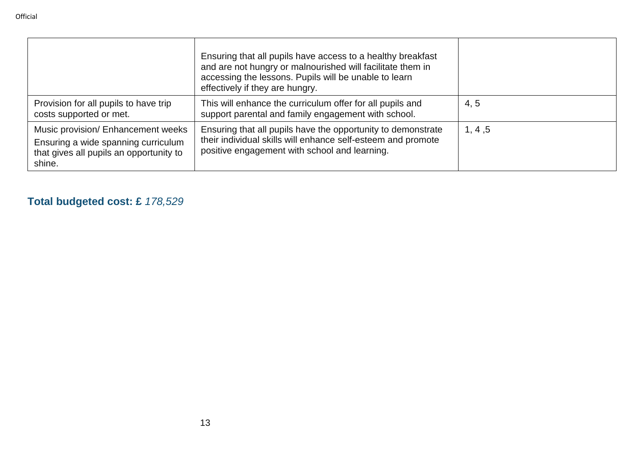|                                                                                                                                | Ensuring that all pupils have access to a healthy breakfast<br>and are not hungry or malnourished will facilitate them in<br>accessing the lessons. Pupils will be unable to learn<br>effectively if they are hungry. |         |
|--------------------------------------------------------------------------------------------------------------------------------|-----------------------------------------------------------------------------------------------------------------------------------------------------------------------------------------------------------------------|---------|
| Provision for all pupils to have trip<br>costs supported or met.                                                               | This will enhance the curriculum offer for all pupils and<br>support parental and family engagement with school.                                                                                                      | 4, 5    |
| Music provision/ Enhancement weeks<br>Ensuring a wide spanning curriculum<br>that gives all pupils an opportunity to<br>shine. | Ensuring that all pupils have the opportunity to demonstrate<br>their individual skills will enhance self-esteem and promote<br>positive engagement with school and learning.                                         | 1, 4, 5 |

## **Total budgeted cost: £** *178,529*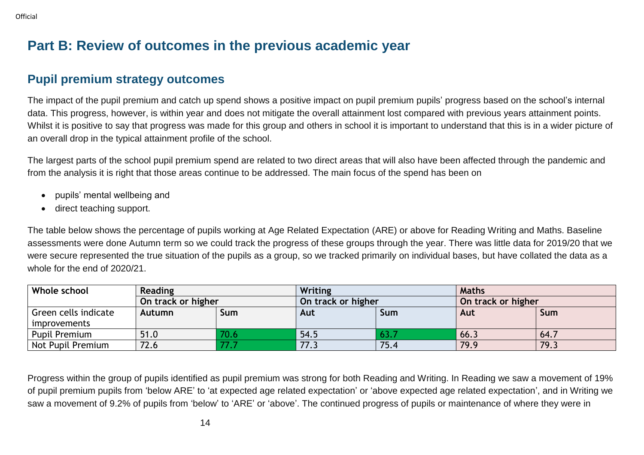## **Part B: Review of outcomes in the previous academic year**

### **Pupil premium strategy outcomes**

The impact of the pupil premium and catch up spend shows a positive impact on pupil premium pupils' progress based on the school's internal data. This progress, however, is within year and does not mitigate the overall attainment lost compared with previous years attainment points. Whilst it is positive to say that progress was made for this group and others in school it is important to understand that this is in a wider picture of an overall drop in the typical attainment profile of the school.

The largest parts of the school pupil premium spend are related to two direct areas that will also have been affected through the pandemic and from the analysis it is right that those areas continue to be addressed. The main focus of the spend has been on

- pupils' mental wellbeing and
- direct teaching support.

The table below shows the percentage of pupils working at Age Related Expectation (ARE) or above for Reading Writing and Maths. Baseline assessments were done Autumn term so we could track the progress of these groups through the year. There was little data for 2019/20 that we were secure represented the true situation of the pupils as a group, so we tracked primarily on individual bases, but have collated the data as a whole for the end of 2020/21.

| Whole school                         | <b>Reading</b>     |            | Writing            |      | <b>Maths</b>       |            |
|--------------------------------------|--------------------|------------|--------------------|------|--------------------|------------|
|                                      | On track or higher |            | On track or higher |      | On track or higher |            |
| Green cells indicate<br>improvements | <b>Autumn</b>      | <b>Sum</b> | Aut                | Sum  | Aut                | <b>Sum</b> |
| <b>Pupil Premium</b>                 | 51.0               |            | 54.5               | 63.7 | 66.3               | 64.7       |
| Not Pupil Premium                    | 72.6               |            | 77.3               | 75.4 | 79.9               | 79.3       |

Progress within the group of pupils identified as pupil premium was strong for both Reading and Writing. In Reading we saw a movement of 19% of pupil premium pupils from 'below ARE' to 'at expected age related expectation' or 'above expected age related expectation', and in Writing we saw a movement of 9.2% of pupils from 'below' to 'ARE' or 'above'. The continued progress of pupils or maintenance of where they were in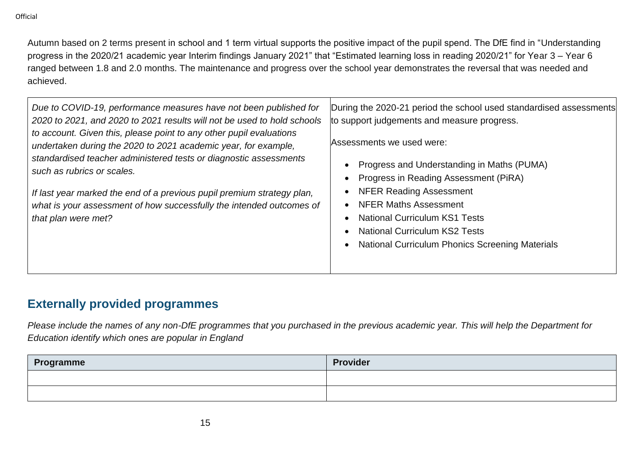Autumn based on 2 terms present in school and 1 term virtual supports the positive impact of the pupil spend. The DfE find in "Understanding progress in the 2020/21 academic year Interim findings January 2021" that "Estimated learning loss in reading 2020/21" for Year 3 – Year 6 ranged between 1.8 and 2.0 months. The maintenance and progress over the school year demonstrates the reversal that was needed and achieved.

| Due to COVID-19, performance measures have not been published for<br>2020 to 2021, and 2020 to 2021 results will not be used to hold schools<br>to account. Given this, please point to any other pupil evaluations<br>undertaken during the 2020 to 2021 academic year, for example,<br>standardised teacher administered tests or diagnostic assessments<br>such as rubrics or scales.<br>If last year marked the end of a previous pupil premium strategy plan,<br>what is your assessment of how successfully the intended outcomes of<br>that plan were met? | During the 2020-21 period the school used standardised assessments<br>to support judgements and measure progress.<br>Assessments we used were:<br>Progress and Understanding in Maths (PUMA)<br>Progress in Reading Assessment (PiRA)<br><b>NFER Reading Assessment</b><br><b>NFER Maths Assessment</b><br><b>National Curriculum KS1 Tests</b><br><b>National Curriculum KS2 Tests</b><br><b>National Curriculum Phonics Screening Materials</b> |
|-------------------------------------------------------------------------------------------------------------------------------------------------------------------------------------------------------------------------------------------------------------------------------------------------------------------------------------------------------------------------------------------------------------------------------------------------------------------------------------------------------------------------------------------------------------------|---------------------------------------------------------------------------------------------------------------------------------------------------------------------------------------------------------------------------------------------------------------------------------------------------------------------------------------------------------------------------------------------------------------------------------------------------|
|-------------------------------------------------------------------------------------------------------------------------------------------------------------------------------------------------------------------------------------------------------------------------------------------------------------------------------------------------------------------------------------------------------------------------------------------------------------------------------------------------------------------------------------------------------------------|---------------------------------------------------------------------------------------------------------------------------------------------------------------------------------------------------------------------------------------------------------------------------------------------------------------------------------------------------------------------------------------------------------------------------------------------------|

## **Externally provided programmes**

*Please include the names of any non-DfE programmes that you purchased in the previous academic year. This will help the Department for Education identify which ones are popular in England*

| Programme | <b>Provider</b> |
|-----------|-----------------|
|           |                 |
|           |                 |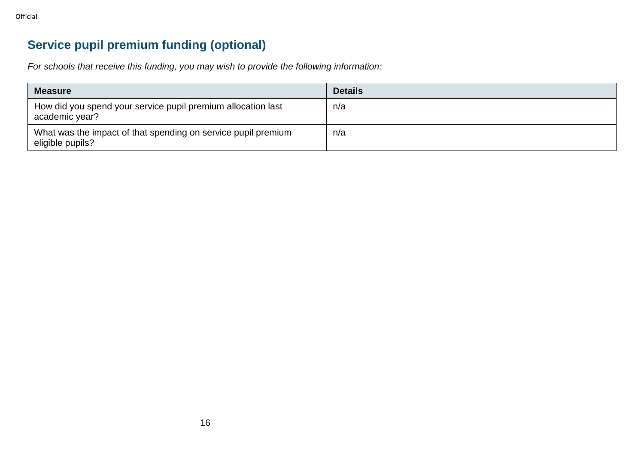Official

# **Service pupil premium funding (optional)**

*For schools that receive this funding, you may wish to provide the following information:* 

| <b>Measure</b>                                                                    | <b>Details</b> |
|-----------------------------------------------------------------------------------|----------------|
| How did you spend your service pupil premium allocation last<br>academic year?    | n/a            |
| What was the impact of that spending on service pupil premium<br>eligible pupils? | n/a            |